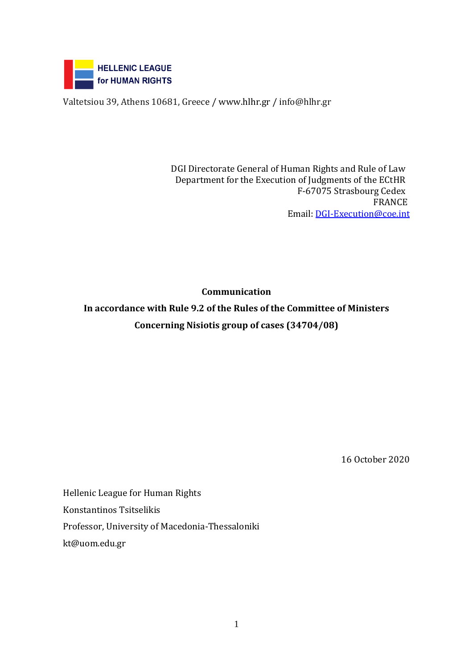

Valtetsiou 39, Athens 10681, Greece / [www.hlhr.gr](http://www.hlhr.gr/) / info@hlhr.gr

DGI Directorate General of Human Rights and Rule of Law Department for the Execution of Judgments of the ECtHR F-67075 Strasbourg Cedex FRANCE Email: [DGI-Execution@coe.int](mailto:DGI-Execution@coe.int)

**Communication** 

**In accordance with Rule 9.2 of the Rules of the Committee of Ministers Concerning Nisiotis group of cases (34704/08)**

16 October 2020

Hellenic League for Human Rights Konstantinos Tsitselikis Professor, University of Macedonia-Thessaloniki kt@uom.edu.gr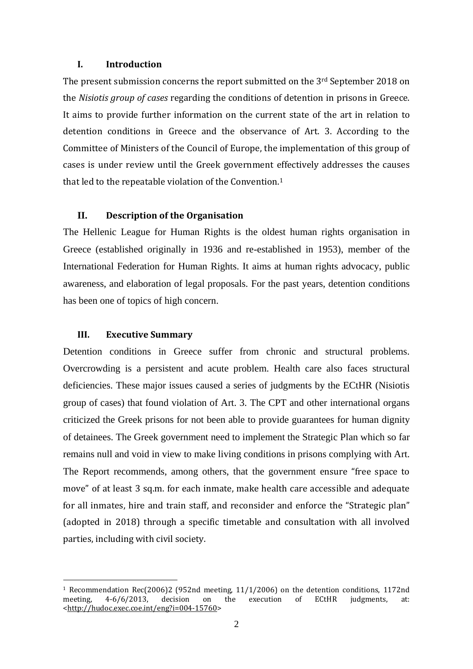#### **I. Introduction**

The present submission concerns the report submitted on the 3rd September 2018 on the *Nisiotis group of cases* regarding the conditions of detention in prisons in Greece. It aims to provide further information on the current state of the art in relation to detention conditions in Greece and the observance of Art. 3. According to the Committee of Ministers of the Council of Europe, the implementation of this group of cases is under review until the Greek government effectively addresses the causes that led to the repeatable violation of the Convention. 1

## **II. Description of the Organisation**

The Hellenic League for Human Rights is the oldest human rights organisation in Greece (established originally in 1936 and re-established in 1953), member of the International Federation for Human Rights. It aims at human rights advocacy, public awareness, and elaboration of legal proposals. For the past years, detention conditions has been one of topics of high concern.

#### **III. Executive Summary**

1

Detention conditions in Greece suffer from chronic and structural problems. Overcrowding is a persistent and acute problem. Health care also faces structural deficiencies. These major issues caused a series of judgments by the ECtHR (Nisiotis group of cases) that found violation of Art. 3. The CPT and other international organs criticized the Greek prisons for not been able to provide guarantees for human dignity of detainees. The Greek government need to implement the Strategic Plan which so far remains null and void in view to make living conditions in prisons complying with Art. The Report recommends, among others, that the government ensure "free space to move" of at least 3 sq.m. for each inmate, make health care accessible and adequate for all inmates, hire and train staff, and reconsider and enforce the "Strategic plan" (adopted in 2018) through a specific timetable and consultation with all involved parties, including with civil society.

<sup>1</sup> Recommendation Rec(2006)2 (952nd meeting, 11/1/2006) on the detention conditions, 1172nd meeting, 4-6/6/2013, decision on the execution of ECtHR judgments, at: [<http://hudoc.exec.coe.int/eng?i=004-15760>](http://hudoc.exec.coe.int/eng?i=004-15760)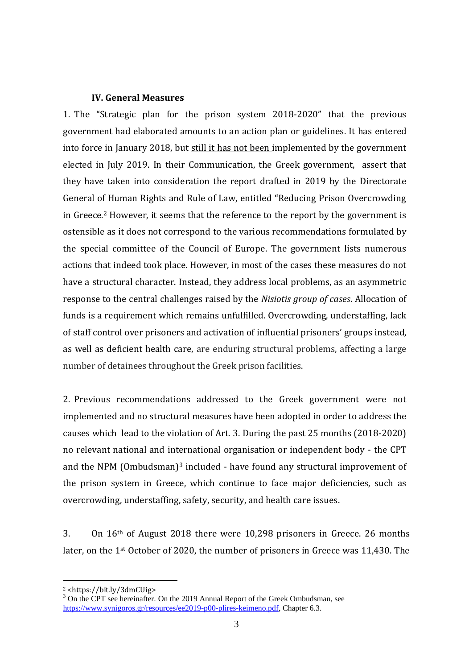### **IV. General Measures**

1. The "Strategic plan for the prison system 2018-2020" that the previous government had elaborated amounts to an action plan or guidelines. It has entered into force in January 2018, but still it has not been implemented by the government elected in July 2019. In their Communication, the Greek government, assert that they have taken into consideration the report drafted in 2019 by the Directorate General of Human Rights and Rule of Law, entitled "Reducing Prison Overcrowding in Greece.<sup>2</sup> However, it seems that the reference to the report by the government is ostensible as it does not correspond to the various recommendations formulated by the special committee of the Council of Europe. The government lists numerous actions that indeed took place. However, in most of the cases these measures do not have a structural character. Instead, they address local problems, as an asymmetric response to the central challenges raised by the *Nisiotis group of cases*. Allocation of funds is a requirement which remains unfulfilled. Overcrowding, understaffing, lack of staff control over prisoners and activation of influential prisoners' groups instead, as well as deficient health care, are enduring structural problems, affecting a large number of detainees throughout the Greek prison facilities.

2. Previous recommendations addressed to the Greek government were not implemented and no structural measures have been adopted in order to address the causes which lead to the violation of Art. 3. During the past 25 months (2018-2020) no relevant national and international organisation or independent body - the CPT and the NPM (Ombudsman)<sup>3</sup> included - have found any structural improvement of the prison system in Greece, which continue to face major deficiencies, such as overcrowding, understaffing, safety, security, and health care issues.

3. On 16th of August 2018 there were 10,298 prisoners in Greece. 26 months later, on the 1st October of 2020, the number of prisoners in Greece was 11,430. The

1

<sup>2</sup> <https://bit.ly/3dmCUig>

<sup>&</sup>lt;sup>3</sup> On the CPT see hereinafter. On the 2019 Annual Report of the Greek Ombudsman, see [https://www.synigoros.gr/resources/ee2019-p00-plires-keimeno.pdf,](https://www.synigoros.gr/resources/ee2019-p00-plires-keimeno.pdf) Chapter 6.3.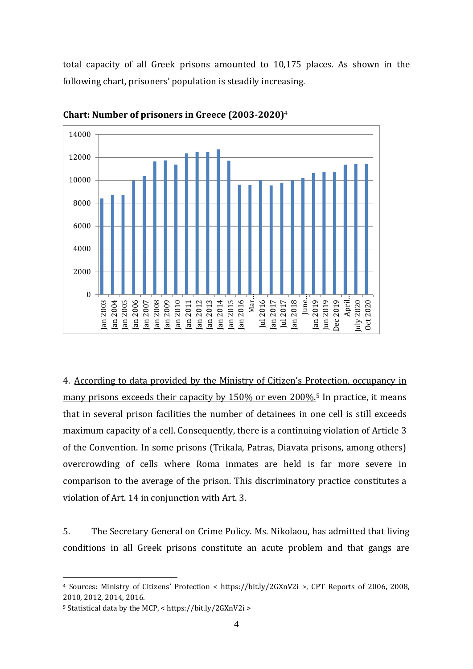total capacity of all Greek prisons amounted to 10,175 places. As shown in the following chart, prisoners' population is steadily increasing.



**Chart: Number of prisoners in Greece (2003-2020)** 4

4. According to data provided by the Ministry of Citizen's Protection, occupancy in many prisons exceeds their capacity by 150% or even 200%.<sup>5</sup> In practice, it means that in several prison facilities the number of detainees in one cell is still exceeds maximum capacity of a cell. Consequently, there is a continuing violation of Article 3 of the Convention. In some prisons (Trikala, Patras, Diavata prisons, among others) overcrowding of cells where Roma inmates are held is far more severe in comparison to the average of the prison. This discriminatory practice constitutes a violation of Art. 14 in conjunction with Art. 3.

5. The Secretary General on Crime Policy. Ms. Nikolaou, has admitted that living conditions in all Greek prisons constitute an acute problem and that gangs are

<u>.</u>

<sup>4</sup> Sources: Ministry of Citizens' Protection < https://bit.ly/2GXnV2i >, CPT Reports of 2006, 2008, 2010, 2012, 2014, 2016.

<sup>5</sup> Statistical data by the MCP, < https://bit.ly/2GXnV2i >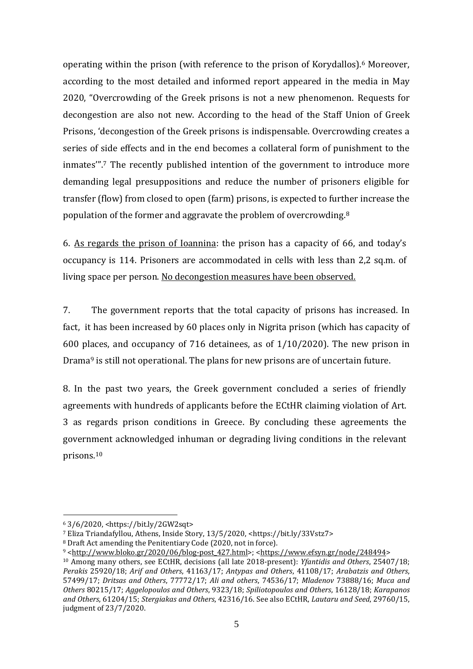operating within the prison (with reference to the prison of Korydallos).<sup>6</sup> Moreover, according to the most detailed and informed report appeared in the media in May 2020, "Overcrowding of the Greek prisons is not a new phenomenon. Requests for decongestion are also not new. According to the head of the Staff Union of Greek Prisons, 'decongestion of the Greek prisons is indispensable. Overcrowding creates a series of side effects and in the end becomes a collateral form of punishment to the inmates'". <sup>7</sup> The recently published intention of the government to introduce more demanding legal presuppositions and reduce the number of prisoners eligible for transfer (flow) from closed to open (farm) prisons, is expected to further increase the population of the former and aggravate the problem of overcrowding.<sup>8</sup>

6. As regards the prison of Ioannina: the prison has a capacity of 66, and today's occupancy is 114. Prisoners are accommodated in cells with less than 2,2 sq.m. of living space per person. No decongestion measures have been observed.

7. The government reports that the total capacity of prisons has increased. In fact, it has been increased by 60 places only in Nigrita prison (which has capacity of 600 places, and occupancy of 716 detainees, as of 1/10/2020). The new prison in Drama<sup>9</sup> is still not operational. The plans for new prisons are of uncertain future.

8. In the past two years, the Greek government concluded a series of friendly agreements with hundreds of applicants before the ECtHR claiming violation of Art. 3 as regards prison conditions in Greece. By concluding these agreements the government acknowledged inhuman or degrading living conditions in the relevant prisons. 10

1

<sup>6</sup> 3/6/2020, <https://bit.ly/2GW2sqt>

<sup>7</sup> Eliza Triandafyllou, Athens, Inside Story, 13/5/2020, <https://bit.ly/33Vstz7>

<sup>8</sup> Draft Act amending the Penitentiary Code (2020, not in force).

<sup>9</sup> [<http://www.bloko.gr/2020/06/blog-post\\_427.html>](http://www.bloko.gr/2020/06/blog-post_427.html); [<https://www.efsyn.gr/node/248494>](https://www.efsyn.gr/node/248494)

<sup>10</sup> Among many others, see ECtHR, decisions (all late 2018-present): *Yfantidis and Others*, 25407/18; *Perakis* 25920/18; *Arif and Others*, 41163/17; *Antypas and Others*, 41108/17; *Arabatzis and Others*, 57499/17; *Dritsas and Others*, 77772/17; *Ali and others*, 74536/17; *Mladenov* 73888/16; *Μuca and Others* 80215/17; *Aggelopoulos and Others*, 9323/18; *Spiliotopoulos and Others*, 16128/18; *Karapanos and Others*, 61204/15; *Stergiakas and Others*, 42316/16. See also ECtHR, *Lautaru and Seed*, 29760/15, judgment of 23/7/2020.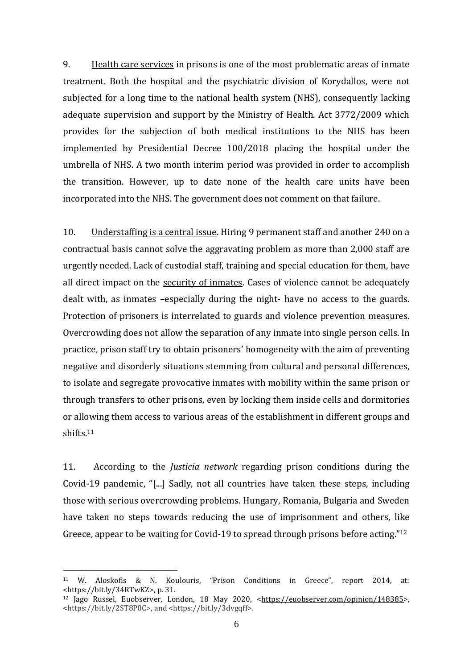9. Health care services in prisons is one of the most problematic areas of inmate treatment. Both the hospital and the psychiatric division of Korydallos, were not subjected for a long time to the national health system (NHS), consequently lacking adequate supervision and support by the Ministry of Health. Act 3772/2009 which provides for the subjection of both medical institutions to the NHS has been implemented by Presidential Decree 100/2018 placing the hospital under the umbrella of NHS. A two month interim period was provided in order to accomplish the transition. However, up to date none of the health care units have been incorporated into the NHS. The government does not comment on that failure.

10. Understaffing is a central issue. Hiring 9 permanent staff and another 240 on a contractual basis cannot solve the aggravating problem as more than 2,000 staff are urgently needed. Lack of custodial staff, training and special education for them, have all direct impact on the security of inmates. Cases of violence cannot be adequately dealt with, as inmates –especially during the night- have no access to the guards. Protection of prisoners is interrelated to guards and violence prevention measures. Overcrowding does not allow the separation of any inmate into single person cells. In practice, prison staff try to obtain prisoners' homogeneity with the aim of preventing negative and disorderly situations stemming from cultural and personal differences, to isolate and segregate provocative inmates with mobility within the same prison or through transfers to other prisons, even by locking them inside cells and dormitories or allowing them access to various areas of the establishment in different groups and shifts. 11

11. According to the *Justicia network* regarding prison conditions during the Covid-19 pandemic, "[...] Sadly, not all countries have taken these steps, including those with serious overcrowding problems. Hungary, Romania, Bulgaria and Sweden have taken no steps towards reducing the use of imprisonment and others, like Greece, appear to be waiting for Covid-19 to spread through prisons before acting."<sup>12</sup>

<u>.</u>

<sup>11</sup> W. Aloskofis & N. Koulouris, "Prison Conditions in Greece", report 2014, at: <https://bit.ly/34RTwKZ>, p. 31.

<sup>12</sup> Jago Russel, Euobserver, London, 18 May 2020, [<https://euobserver.com/opinion/148385>](https://euobserver.com/opinion/148385), <https://bit.ly/2ST8P0C>, and <https://bit.ly/3dvgqff>.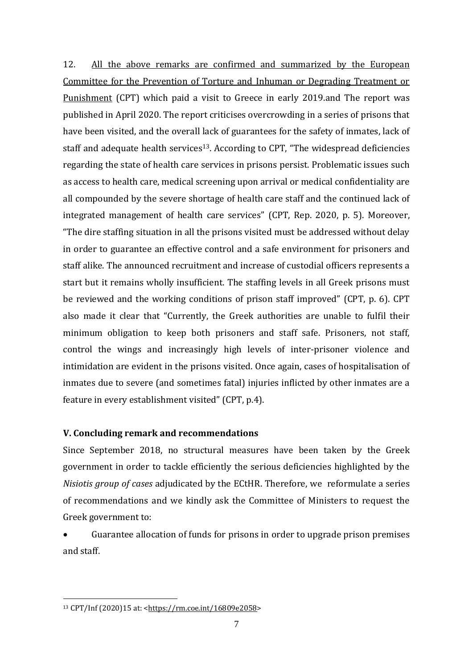12. All the above remarks are confirmed and summarized by the European Committee for the Prevention of Torture and Inhuman or Degrading Treatment or Punishment (CPT) which paid a visit to Greece in early 2019.and The report was published in April 2020. The report criticises overcrowding in a series of prisons that have been visited, and the overall lack of guarantees for the safety of inmates, lack of staff and adequate health services<sup>13</sup>. According to CPT, "The widespread deficiencies regarding the state of health care services in prisons persist. Problematic issues such as access to health care, medical screening upon arrival or medical confidentiality are all compounded by the severe shortage of health care staff and the continued lack of integrated management of health care services" (CPT, Rep. 2020, p. 5). Moreover, "The dire staffing situation in all the prisons visited must be addressed without delay in order to guarantee an effective control and a safe environment for prisoners and staff alike. The announced recruitment and increase of custodial officers represents a start but it remains wholly insufficient. The staffing levels in all Greek prisons must be reviewed and the working conditions of prison staff improved" (CPT, p. 6). CPT also made it clear that "Currently, the Greek authorities are unable to fulfil their minimum obligation to keep both prisoners and staff safe. Prisoners, not staff, control the wings and increasingly high levels of inter-prisoner violence and intimidation are evident in the prisons visited. Once again, cases of hospitalisation of inmates due to severe (and sometimes fatal) injuries inflicted by other inmates are a feature in every establishment visited" (CPT, p.4).

# **V. Concluding remark and recommendations**

Since September 2018, no structural measures have been taken by the Greek government in order to tackle efficiently the serious deficiencies highlighted by the *Nisiotis group of cases* adjudicated by the ECtHR. Therefore, we reformulate a series of recommendations and we kindly ask the Committee of Ministers to request the Greek government to:

 Guarantee allocation of funds for prisons in order to upgrade prison premises and staff.

1

<sup>13</sup> CPT/Inf (2020)15 at: [<https://rm.coe.int/16809e2058>](https://rm.coe.int/16809e2058)